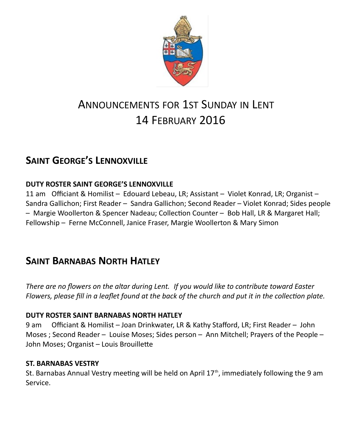

# ANNOUNCEMENTS FOR 1ST SUNDAY IN LENT 14 FEBRUARY 2016

# **SAINT GEORGE'S LENNOXVILLE**

### **DUTY ROSTER SAINT GEORGE'S LENNOXVILLE**

11 am Officiant & Homilist – Edouard Lebeau, LR; Assistant – Violet Konrad, LR; Organist – Sandra Gallichon; First Reader – Sandra Gallichon; Second Reader – Violet Konrad; Sides people – Margie Woollerton & Spencer Nadeau; Collection Counter – Bob Hall, LR & Margaret Hall; Fellowship – Ferne McConnell, Janice Fraser, Margie Woollerton & Mary Simon

# **SAINT BARNABAS NORTH HATLEY**

*There are no flowers on the altar during Lent. If you would like to contribute toward Easter Flowers, please fill in a leaflet found at the back of the church and put it in the collection plate.*

### **DUTY ROSTER SAINT BARNABAS NORTH HATLEY**

9 am Officiant & Homilist – Joan Drinkwater, LR & Kathy Stafford, LR; First Reader – John Moses ; Second Reader – Louise Moses; Sides person – Ann Mitchell; Prayers of the People – John Moses; Organist – Louis Brouillette

### **ST. BARNABAS VESTRY**

St. Barnabas Annual Vestry meeting will be held on April  $17<sup>th</sup>$ , immediately following the 9 am Service.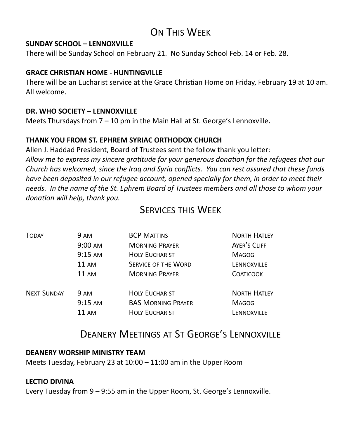# ON THIS WEEK

#### **SUNDAY SCHOOL – LENNOXVILLE**

There will be Sunday School on February 21. No Sunday School Feb. 14 or Feb. 28.

### **GRACE CHRISTIAN HOME - HUNTINGVILLE**

There will be an Eucharist service at the Grace Christian Home on Friday, February 19 at 10 am. All welcome.

#### **DR. WHO SOCIETY – LENNOXVILLE**

Meets Thursdays from  $7 - 10$  pm in the Main Hall at St. George's Lennoxville.

### **THANK YOU FROM ST. EPHREM SYRIAC ORTHODOX CHURCH**

Allen J. Haddad President, Board of Trustees sent the follow thank you letter: *Allow me to express my sincere gratitude for your generous donation for the refugees that our Church has welcomed, since the Iraq and Syria conflicts. You can rest assured that these funds have been deposited in our refugee account, opened specially for them, in order to meet their needs. In the name of the St. Ephrem Board of Trustees members and all those to whom your donation will help, thank you.* 

# SERVICES THIS WEEK

| TODAY              | <b>9 AM</b>       | <b>BCP MATTINS</b>         | <b>NORTH HATLEY</b> |
|--------------------|-------------------|----------------------------|---------------------|
|                    | $9:00 \text{ AM}$ | <b>MORNING PRAYER</b>      | AYER'S CLIFF        |
|                    | $9:15 \text{ AM}$ | <b>HOLY EUCHARIST</b>      | <b>MAGOG</b>        |
|                    | 11 AM             | <b>SERVICE OF THE WORD</b> | LENNOXVILLE         |
|                    | 11 AM             | <b>MORNING PRAYER</b>      | <b>COATICOOK</b>    |
| <b>NEXT SUNDAY</b> | <b>9 AM</b>       | <b>HOLY EUCHARIST</b>      | <b>NORTH HATLEY</b> |
|                    | $9:15 \text{ AM}$ | <b>BAS MORNING PRAYER</b>  | <b>MAGOG</b>        |
|                    | 11 AM             | <b>HOLY EUCHARIST</b>      | LENNOXVILLE         |
|                    |                   |                            |                     |

## DEANERY MEETINGS AT ST GEORGE'S LENNOXVILLE

#### **DEANERY WORSHIP MINISTRY TEAM**

Meets Tuesday, February 23 at 10:00 – 11:00 am in the Upper Room

### **LECTIO DIVINA**

Every Tuesday from 9 – 9:55 am in the Upper Room, St. George's Lennoxville.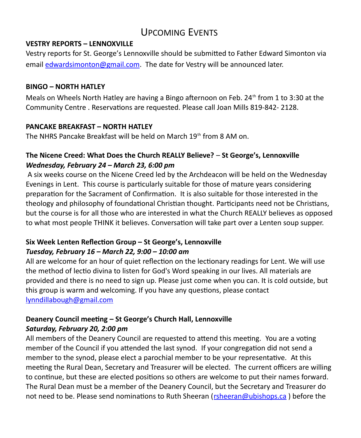# UPCOMING EVENTS

#### **VESTRY REPORTS – LENNOXVILLE**

Vestry reports for St. George's Lennoxville should be submitted to Father Edward Simonton via email [edwardsimonton@gmail.com.](mailto:edwardsimonton@gmail.com) The date for Vestry will be announced later.

### **BINGO – NORTH HATLEY**

Meals on Wheels North Hatley are having a Bingo afternoon on Feb. 24<sup>th</sup> from 1 to 3:30 at the Community Centre . Reservations are requested. Please call Joan Mills 819-842- 2128.

### **PANCAKE BREAKFAST – NORTH HATLEY**

The NHRS Pancake Breakfast will be held on March 19<sup>th</sup> from 8 AM on.

### **The Nicene Creed: What Does the Church REALLY Believe?** – **St George's, Lennoxville** *Wednesday, February 24 – March 23, 6:00 pm*

A six weeks course on the Nicene Creed led by the Archdeacon will be held on the Wednesday Evenings in Lent. This course is particularly suitable for those of mature years considering preparation for the Sacrament of Confirmation. It is also suitable for those interested in the theology and philosophy of foundational Christian thought. Participants need not be Christians, but the course is for all those who are interested in what the Church REALLY believes as opposed to what most people THINK it believes. Conversation will take part over a Lenten soup supper.

### **Six Week Lenten Reflection Group – St George's, Lennoxville**  *Tuesday, February 16 – March 22, 9:00 – 10:00 am*

All are welcome for an hour of quiet reflection on the lectionary readings for Lent. We will use the method of lectio divina to listen for God's Word speaking in our lives. All materials are provided and there is no need to sign up. Please just come when you can. It is cold outside, but this group is warm and welcoming. If you have any questions, please contact [lynndillabough@gmail.com](https://webmail.ubishops.ca/owa/redir.aspx?SURL=gJAaQmXdJrAJmmsLIUsCBnpsgFgooUUINemiAuOcj2MA77Qn_yfTCG0AYQBpAGwAdABvADoAbAB5AG4AbgBkAGkAbABsAGEAYgBvAHUAZwBoAEAAZwBtAGEAaQBsAC4AYwBvAG0A&URL=mailto%3Alynndillabough@gmail.com)

### **Deanery Council meeting – St George's Church Hall, Lennoxville**  *Saturday, February 20, 2:00 pm*

All members of the Deanery Council are requested to attend this meeting. You are a voting member of the Council if you attended the last synod. If your congregation did not send a member to the synod, please elect a parochial member to be your representative. At this meeting the Rural Dean, Secretary and Treasurer will be elected. The current officers are willing to continue, but these are elected positions so others are welcome to put their names forward. The Rural Dean must be a member of the Deanery Council, but the Secretary and Treasurer do not need to be. Please send nominations to Ruth Sheeran (rsheeran@ubishops.ca) before the